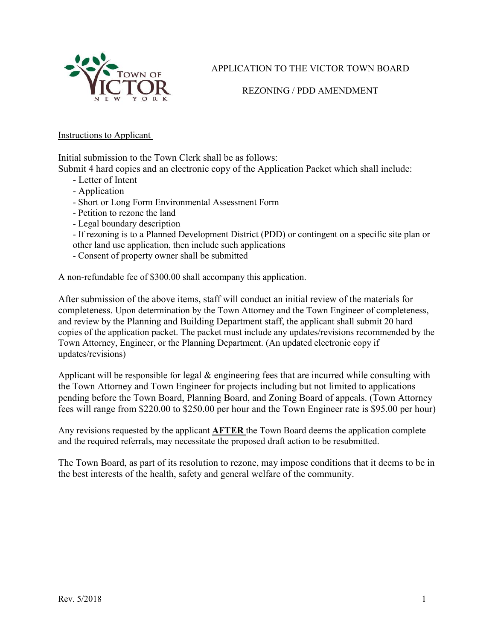

APPLICATION TO THE VICTOR TOWN BOARD

REZONING / PDD AMENDMENT

Instructions to Applicant

Initial submission to the Town Clerk shall be as follows:

Submit 4 hard copies and an electronic copy of the Application Packet which shall include:

- Letter of Intent
- Application
- Short or Long Form Environmental Assessment Form
- Petition to rezone the land
- Legal boundary description
- If rezoning is to a Planned Development District (PDD) or contingent on a specific site plan or other land use application, then include such applications
- Consent of property owner shall be submitted

A non-refundable fee of \$300.00 shall accompany this application.

After submission of the above items, staff will conduct an initial review of the materials for completeness. Upon determination by the Town Attorney and the Town Engineer of completeness, and review by the Planning and Building Department staff, the applicant shall submit 20 hard copies of the application packet. The packet must include any updates/revisions recommended by the Town Attorney, Engineer, or the Planning Department. (An updated electronic copy if updates/revisions)

Applicant will be responsible for legal & engineering fees that are incurred while consulting with the Town Attorney and Town Engineer for projects including but not limited to applications pending before the Town Board, Planning Board, and Zoning Board of appeals. (Town Attorney fees will range from \$220.00 to \$250.00 per hour and the Town Engineer rate is \$95.00 per hour)

Any revisions requested by the applicant **AFTER** the Town Board deems the application complete and the required referrals, may necessitate the proposed draft action to be resubmitted.

The Town Board, as part of its resolution to rezone, may impose conditions that it deems to be in the best interests of the health, safety and general welfare of the community.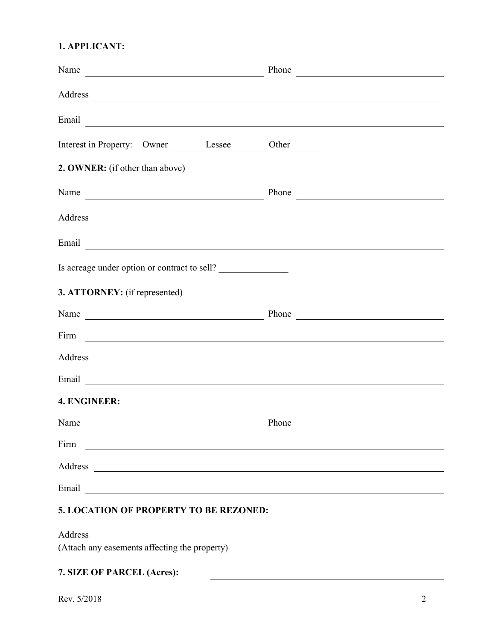#### **1. APPLICANT:**

| Name                                                                                                                                                                                                                                 | Phone |
|--------------------------------------------------------------------------------------------------------------------------------------------------------------------------------------------------------------------------------------|-------|
| Address<br><u> Andreas Andreas Andreas Andreas Andreas Andreas Andreas Andreas Andreas Andreas Andreas Andreas Andreas Andr</u>                                                                                                      |       |
| Email<br><u> Andreas Andreas Andreas Andreas Andreas Andreas Andreas Andreas Andreas Andreas Andreas Andreas Andreas Andr</u>                                                                                                        |       |
| Interest in Property: Owner Lessee Other                                                                                                                                                                                             |       |
| 2. OWNER: (if other than above)                                                                                                                                                                                                      |       |
| Name                                                                                                                                                                                                                                 | Phone |
|                                                                                                                                                                                                                                      |       |
| Email <u>expression of the contract of the contract of the contract of the contract of the contract of the contract of the contract of the contract of the contract of the contract of the contract of the contract of the contr</u> |       |
| Is acreage under option or contract to sell?                                                                                                                                                                                         |       |
| 3. ATTORNEY: (if represented)                                                                                                                                                                                                        |       |
| Name Phone Phone Phone                                                                                                                                                                                                               |       |
| Firm The Commission of the Commission of the Commission of the Commission of the Commission of the Commission of the Commission of the Commission of the Commission of the Commission of the Commission of the Commission of t       |       |
| Address and the contract of the contract of the contract of the contract of the contract of the contract of the contract of the contract of the contract of the contract of the contract of the contract of the contract of th       |       |
|                                                                                                                                                                                                                                      |       |
| 4. ENGINEER:                                                                                                                                                                                                                         |       |
| Name                                                                                                                                                                                                                                 | Phone |
| Firm                                                                                                                                                                                                                                 |       |
| Address<br><u> 1989 - John Stein, Amerikaansk politiker (</u>                                                                                                                                                                        |       |
| Email                                                                                                                                                                                                                                |       |
|                                                                                                                                                                                                                                      |       |

## **5. LOCATION OF PROPERTY TO BE REZONED:**

Address

(Attach any easements affecting the property)

### **7. SIZE OF PARCEL (Acres):**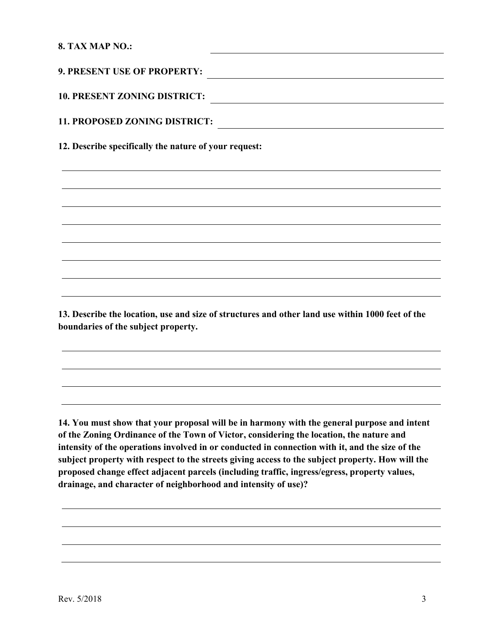#### **8. TAX MAP NO.:**

| <b>10. PRESENT ZONING DISTRICT:</b>                   |
|-------------------------------------------------------|
| 11. PROPOSED ZONING DISTRICT:                         |
| 12. Describe specifically the nature of your request: |
|                                                       |
|                                                       |
|                                                       |
|                                                       |
|                                                       |
|                                                       |
|                                                       |

**13. Describe the location, use and size of structures and other land use within 1000 feet of the boundaries of the subject property.** 

**14. You must show that your proposal will be in harmony with the general purpose and intent of the Zoning Ordinance of the Town of Victor, considering the location, the nature and intensity of the operations involved in or conducted in connection with it, and the size of the subject property with respect to the streets giving access to the subject property. How will the proposed change effect adjacent parcels (including traffic, ingress/egress, property values, drainage, and character of neighborhood and intensity of use)?**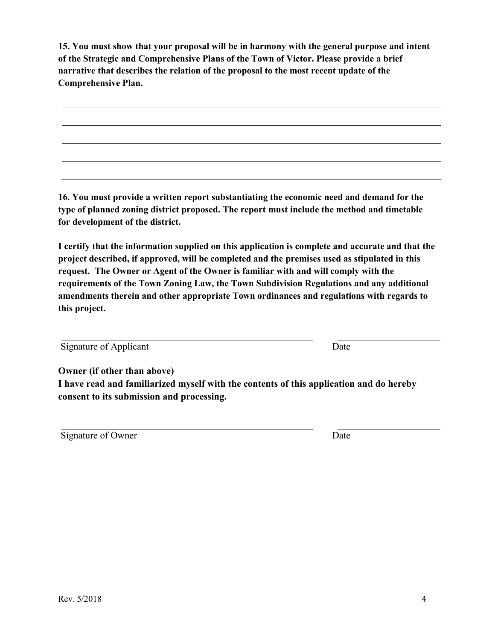**15. You must show that your proposal will be in harmony with the general purpose and intent of the Strategic and Comprehensive Plans of the Town of Victor. Please provide a brief narrative that describes the relation of the proposal to the most recent update of the Comprehensive Plan.** 

**16. You must provide a written report substantiating the economic need and demand for the type of planned zoning district proposed. The report must include the method and timetable for development of the district.** 

**I certify that the information supplied on this application is complete and accurate and that the project described, if approved, will be completed and the premises used as stipulated in this request. The Owner or Agent of the Owner is familiar with and will comply with the requirements of the Town Zoning Law, the Town Subdivision Regulations and any additional amendments therein and other appropriate Town ordinances and regulations with regards to this project.** 

| Signature of Applicant | Date |
|------------------------|------|
|------------------------|------|

**Owner (if other than above)** 

**I have read and familiarized myself with the contents of this application and do hereby consent to its submission and processing.** 

| Signature of Owner | Date |
|--------------------|------|
|                    |      |